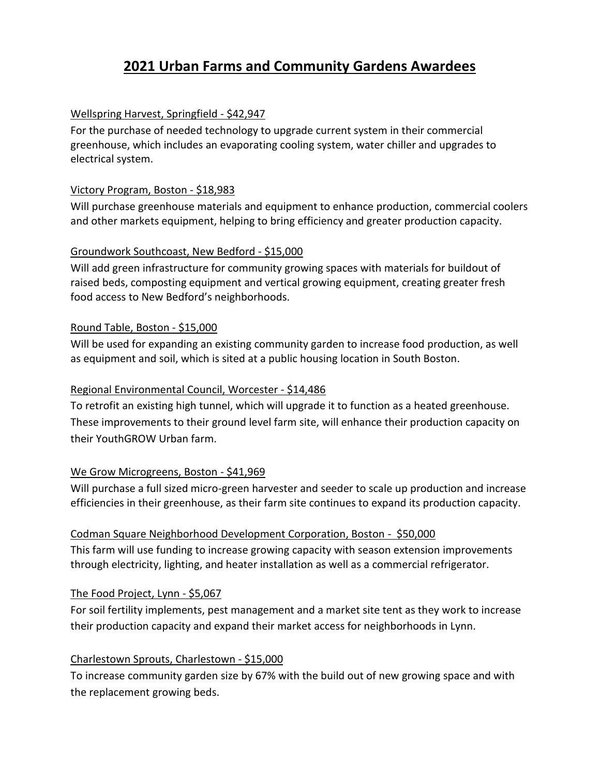# **2021 Urban Farms and Community Gardens Awardees**

# Wellspring Harvest, Springfield - \$42,947

For the purchase of needed technology to upgrade current system in their commercial greenhouse, which includes an evaporating cooling system, water chiller and upgrades to electrical system.

#### Victory Program, Boston - \$18,983

Will purchase greenhouse materials and equipment to enhance production, commercial coolers and other markets equipment, helping to bring efficiency and greater production capacity.

#### Groundwork Southcoast, New Bedford - \$15,000

Will add green infrastructure for community growing spaces with materials for buildout of raised beds, composting equipment and vertical growing equipment, creating greater fresh food access to New Bedford's neighborhoods.

#### Round Table, Boston - \$15,000

Will be used for expanding an existing community garden to increase food production, as well as equipment and soil, which is sited at a public housing location in South Boston.

#### Regional Environmental Council, Worcester - \$14,486

To retrofit an existing high tunnel, which will upgrade it to function as a heated greenhouse. These improvements to their ground level farm site, will enhance their production capacity on their YouthGROW Urban farm.

# We Grow Microgreens, Boston - \$41,969

Will purchase a full sized micro-green harvester and seeder to scale up production and increase efficiencies in their greenhouse, as their farm site continues to expand its production capacity.

# Codman Square Neighborhood Development Corporation, Boston - \$50,000

This farm will use funding to increase growing capacity with season extension improvements through electricity, lighting, and heater installation as well as a commercial refrigerator.

# The Food Project, Lynn - \$5,067

For soil fertility implements, pest management and a market site tent as they work to increase their production capacity and expand their market access for neighborhoods in Lynn.

# Charlestown Sprouts, Charlestown - \$15,000

To increase community garden size by 67% with the build out of new growing space and with the replacement growing beds.